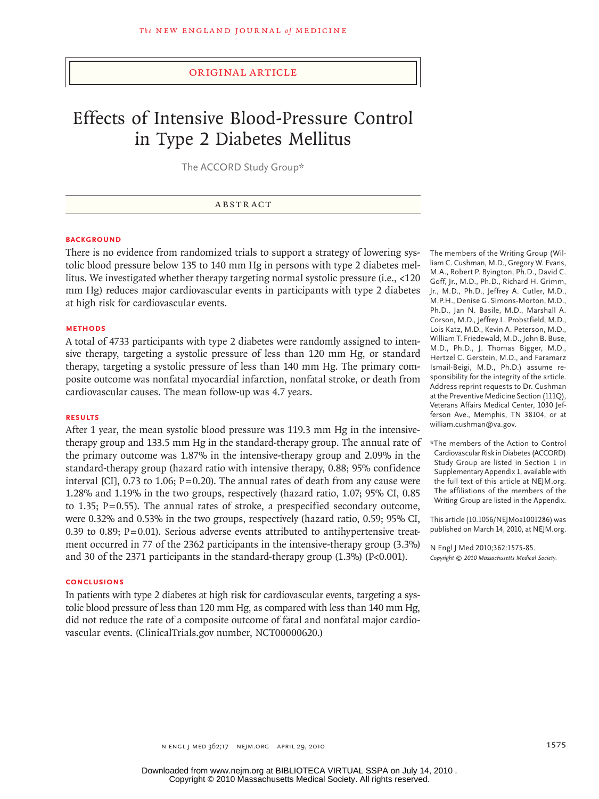## original article

# Effects of Intensive Blood-Pressure Control in Type 2 Diabetes Mellitus

The ACCORD Study Group\*

## ABSTRACT

## **BACKGROUND**

There is no evidence from randomized trials to support a strategy of lowering systolic blood pressure below 135 to 140 mm Hg in persons with type 2 diabetes mellitus. We investigated whether therapy targeting normal systolic pressure (i.e., <120 mm Hg) reduces major cardiovascular events in participants with type 2 diabetes at high risk for cardiovascular events.

#### **Methods**

A total of 4733 participants with type 2 diabetes were randomly assigned to intensive therapy, targeting a systolic pressure of less than 120 mm Hg, or standard therapy, targeting a systolic pressure of less than 140 mm Hg. The primary composite outcome was nonfatal myocardial infarction, nonfatal stroke, or death from cardiovascular causes. The mean follow-up was 4.7 years.

## **Results**

After 1 year, the mean systolic blood pressure was 119.3 mm Hg in the intensivetherapy group and 133.5 mm Hg in the standard-therapy group. The annual rate of the primary outcome was 1.87% in the intensive-therapy group and 2.09% in the standard-therapy group (hazard ratio with intensive therapy, 0.88; 95% confidence interval [CI], 0.73 to 1.06;  $P=0.20$ ). The annual rates of death from any cause were 1.28% and 1.19% in the two groups, respectively (hazard ratio, 1.07; 95% CI, 0.85 to 1.35; P=0.55). The annual rates of stroke, a prespecified secondary outcome, were 0.32% and 0.53% in the two groups, respectively (hazard ratio, 0.59; 95% CI, 0.39 to 0.89; P=0.01). Serious adverse events attributed to antihypertensive treatment occurred in 77 of the 2362 participants in the intensive-therapy group (3.3%) and 30 of the 2371 participants in the standard-therapy group  $(1.3\%)$  (P<0.001).

#### **Conclusions**

In patients with type 2 diabetes at high risk for cardiovascular events, targeting a systolic blood pressure of less than 120 mm Hg, as compared with less than 140 mm Hg, did not reduce the rate of a composite outcome of fatal and nonfatal major cardiovascular events. (ClinicalTrials.gov number, NCT00000620.)

The members of the Writing Group (William C. Cushman, M.D., Gregory W. Evans, M.A., Robert P. Byington, Ph.D., David C. Goff, Jr., M.D., Ph.D., Richard H. Grimm, Jr., M.D., Ph.D., Jeffrey A. Cutler, M.D., M.P.H., Denise G. Simons-Morton, M.D., Ph.D., Jan N. Basile, M.D., Marshall A. Corson, M.D., Jeffrey L. Probstfield, M.D., Lois Katz, M.D., Kevin A. Peterson, M.D., William T. Friedewald, M.D., John B. Buse, M.D., Ph.D., J. Thomas Bigger, M.D., Hertzel C. Gerstein, M.D., and Faramarz Ismail-Beigi, M.D., Ph.D.) assume responsibility for the integrity of the article. Address reprint requests to Dr. Cushman at the Preventive Medicine Section (111Q), Veterans Affairs Medical Center, 1030 Jefferson Ave., Memphis, TN 38104, or at william.cushman@va.gov.

\*The members of the Action to Control Cardiovascular Risk in Diabetes (ACCORD) Study Group are listed in Section 1 in Supplementary Appendix 1, available with the full text of this article at NEJM.org. The affiliations of the members of the Writing Group are listed in the Appendix.

This article (10.1056/NEJMoa1001286) was published on March 14, 2010, at NEJM.org.

N Engl J Med 2010;362:1575-85. *Copyright © 2010 Massachusetts Medical Society.*

n engl j med 362;17 nejm.org april 29, 2010 1575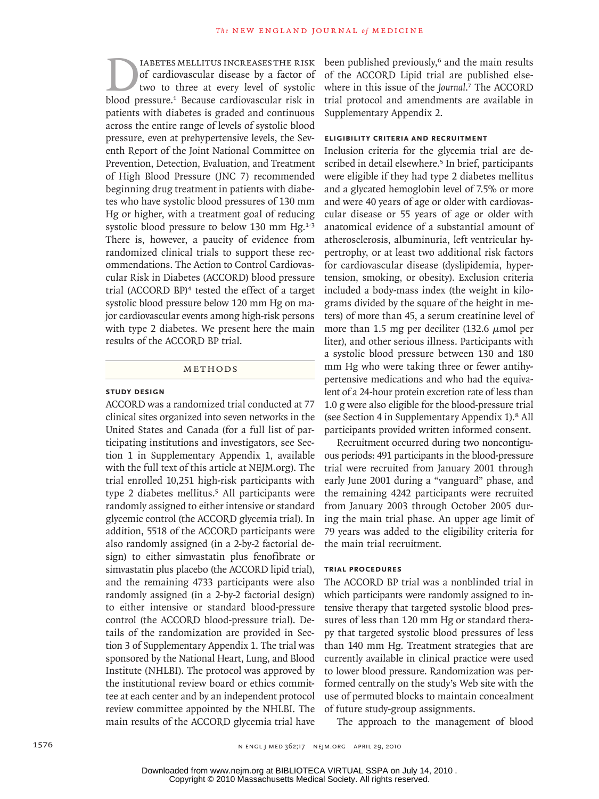IABETES MELLITUS INCREASES THE RISK of cardiovascular disease by a factor of two to three at every level of systolic blood pressure.<sup>1</sup> Because cardiovascular risk in patients with diabetes is graded and continuous across the entire range of levels of systolic blood pressure, even at prehypertensive levels, the Seventh Report of the Joint National Committee on Prevention, Detection, Evaluation, and Treatment of High Blood Pressure (JNC 7) recommended beginning drug treatment in patients with diabetes who have systolic blood pressures of 130 mm Hg or higher, with a treatment goal of reducing systolic blood pressure to below 130 mm Hg.<sup>1-3</sup> There is, however, a paucity of evidence from randomized clinical trials to support these recommendations. The Action to Control Cardiovascular Risk in Diabetes (ACCORD) blood pressure trial (ACCORD BP)4 tested the effect of a target systolic blood pressure below 120 mm Hg on major cardiovascular events among high-risk persons with type 2 diabetes. We present here the main results of the ACCORD BP trial.

# Methods

# **Study Design**

ACCORD was a randomized trial conducted at 77 clinical sites organized into seven networks in the United States and Canada (for a full list of participating institutions and investigators, see Section 1 in Supplementary Appendix 1, available with the full text of this article at NEJM.org). The trial enrolled 10,251 high-risk participants with type 2 diabetes mellitus.<sup>5</sup> All participants were randomly assigned to either intensive or standard glycemic control (the ACCORD glycemia trial). In addition, 5518 of the ACCORD participants were also randomly assigned (in a 2-by-2 factorial design) to either simvastatin plus fenofibrate or simvastatin plus placebo (the ACCORD lipid trial), and the remaining 4733 participants were also randomly assigned (in a 2-by-2 factorial design) to either intensive or standard blood-pressure control (the ACCORD blood-pressure trial). Details of the randomization are provided in Section 3 of Supplementary Appendix 1. The trial was sponsored by the National Heart, Lung, and Blood Institute (NHLBI). The protocol was approved by the institutional review board or ethics committee at each center and by an independent protocol review committee appointed by the NHLBI. The main results of the ACCORD glycemia trial have

been published previously,<sup>6</sup> and the main results of the ACCORD Lipid trial are published elsewhere in this issue of the *Journal*. <sup>7</sup> The ACCORD trial protocol and amendments are available in Supplementary Appendix 2.

## **Eligibility Criteria and Recruitment**

Inclusion criteria for the glycemia trial are described in detail elsewhere.<sup>5</sup> In brief, participants were eligible if they had type 2 diabetes mellitus and a glycated hemoglobin level of 7.5% or more and were 40 years of age or older with cardiovascular disease or 55 years of age or older with anatomical evidence of a substantial amount of atherosclerosis, albuminuria, left ventricular hypertrophy, or at least two additional risk factors for cardiovascular disease (dyslipidemia, hypertension, smoking, or obesity). Exclusion criteria included a body-mass index (the weight in kilograms divided by the square of the height in meters) of more than 45, a serum creatinine level of more than 1.5 mg per deciliter (132.6  $\mu$ mol per liter), and other serious illness. Participants with a systolic blood pressure between 130 and 180 mm Hg who were taking three or fewer antihypertensive medications and who had the equivalent of a 24-hour protein excretion rate of less than 1.0 g were also eligible for the blood-pressure trial (see Section 4 in Supplementary Appendix 1).8 All participants provided written informed consent.

Recruitment occurred during two noncontiguous periods: 491 participants in the blood-pressure trial were recruited from January 2001 through early June 2001 during a "vanguard" phase, and the remaining 4242 participants were recruited from January 2003 through October 2005 during the main trial phase. An upper age limit of 79 years was added to the eligibility criteria for the main trial recruitment.

# **Trial Procedures**

The ACCORD BP trial was a nonblinded trial in which participants were randomly assigned to intensive therapy that targeted systolic blood pressures of less than 120 mm Hg or standard therapy that targeted systolic blood pressures of less than 140 mm Hg. Treatment strategies that are currently available in clinical practice were used to lower blood pressure. Randomization was performed centrally on the study's Web site with the use of permuted blocks to maintain concealment of future study-group assignments.

The approach to the management of blood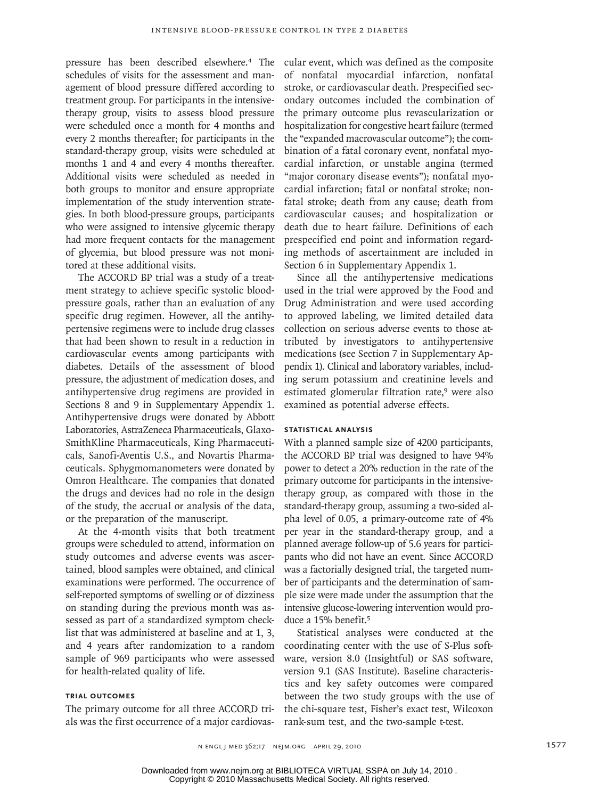pressure has been described elsewhere.4 The schedules of visits for the assessment and management of blood pressure differed according to treatment group. For participants in the intensivetherapy group, visits to assess blood pressure were scheduled once a month for 4 months and every 2 months thereafter; for participants in the standard-therapy group, visits were scheduled at months 1 and 4 and every 4 months thereafter. Additional visits were scheduled as needed in both groups to monitor and ensure appropriate implementation of the study intervention strategies. In both blood-pressure groups, participants who were assigned to intensive glycemic therapy had more frequent contacts for the management of glycemia, but blood pressure was not monitored at these additional visits.

The ACCORD BP trial was a study of a treatment strategy to achieve specific systolic bloodpressure goals, rather than an evaluation of any specific drug regimen. However, all the antihypertensive regimens were to include drug classes that had been shown to result in a reduction in cardiovascular events among participants with diabetes. Details of the assessment of blood pressure, the adjustment of medication doses, and antihypertensive drug regimens are provided in Sections 8 and 9 in Supplementary Appendix 1. Antihypertensive drugs were donated by Abbott Laboratories, AstraZeneca Pharmaceuticals, Glaxo-SmithKline Pharmaceuticals, King Pharmaceuticals, Sanofi-Aventis U.S., and Novartis Pharmaceuticals. Sphygmomanometers were donated by Omron Healthcare. The companies that donated the drugs and devices had no role in the design of the study, the accrual or analysis of the data, or the preparation of the manuscript.

At the 4-month visits that both treatment groups were scheduled to attend, information on study outcomes and adverse events was ascertained, blood samples were obtained, and clinical examinations were performed. The occurrence of self-reported symptoms of swelling or of dizziness on standing during the previous month was assessed as part of a standardized symptom checklist that was administered at baseline and at 1, 3, and 4 years after randomization to a random sample of 969 participants who were assessed for health-related quality of life.

# **Trial Outcomes**

The primary outcome for all three ACCORD trials was the first occurrence of a major cardiovas-

cular event, which was defined as the composite of nonfatal myocardial infarction, nonfatal stroke, or cardiovascular death. Prespecified secondary outcomes included the combination of the primary outcome plus revascularization or hospitalization for congestive heart failure (termed the "expanded macrovascular outcome"); the combination of a fatal coronary event, nonfatal myocardial infarction, or unstable angina (termed "major coronary disease events"); nonfatal myocardial infarction; fatal or nonfatal stroke; nonfatal stroke; death from any cause; death from cardiovascular causes; and hospitalization or death due to heart failure. Definitions of each prespecified end point and information regarding methods of ascertainment are included in Section 6 in Supplementary Appendix 1.

Since all the antihypertensive medications used in the trial were approved by the Food and Drug Administration and were used according to approved labeling, we limited detailed data collection on serious adverse events to those attributed by investigators to antihypertensive medications (see Section 7 in Supplementary Appendix 1). Clinical and laboratory variables, including serum potassium and creatinine levels and estimated glomerular filtration rate,<sup>9</sup> were also examined as potential adverse effects.

# **Statistical Analysis**

With a planned sample size of 4200 participants, the ACCORD BP trial was designed to have 94% power to detect a 20% reduction in the rate of the primary outcome for participants in the intensivetherapy group, as compared with those in the standard-therapy group, assuming a two-sided alpha level of 0.05, a primary-outcome rate of 4% per year in the standard-therapy group, and a planned average follow-up of 5.6 years for participants who did not have an event. Since ACCORD was a factorially designed trial, the targeted number of participants and the determination of sample size were made under the assumption that the intensive glucose-lowering intervention would produce a 15% benefit.<sup>5</sup>

Statistical analyses were conducted at the coordinating center with the use of S-Plus software, version 8.0 (Insightful) or SAS software, version 9.1 (SAS Institute). Baseline characteristics and key safety outcomes were compared between the two study groups with the use of the chi-square test, Fisher's exact test, Wilcoxon rank-sum test, and the two-sample t-test.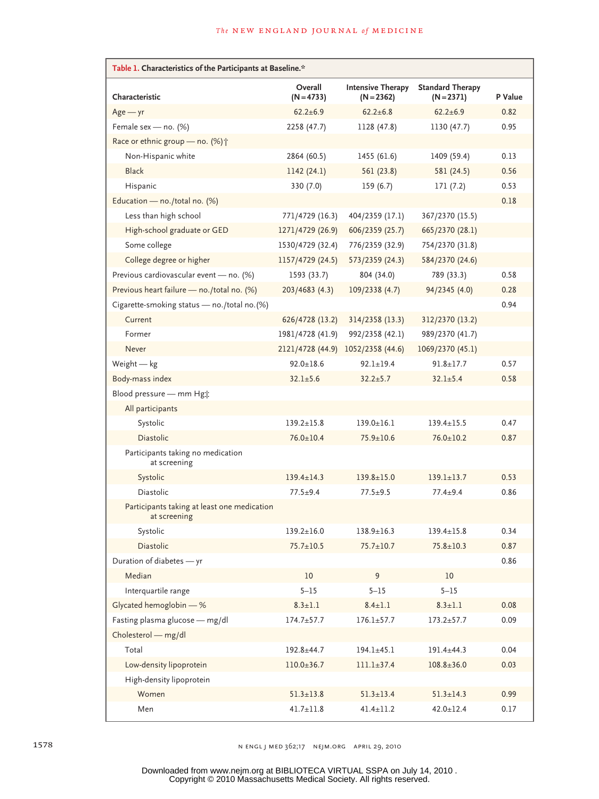| Table 1. Characteristics of the Participants at Baseline.*  |                         |                                          |                                       |         |  |  |
|-------------------------------------------------------------|-------------------------|------------------------------------------|---------------------------------------|---------|--|--|
| Characteristic                                              | Overall<br>$(N = 4733)$ | <b>Intensive Therapy</b><br>$(N = 2362)$ | <b>Standard Therapy</b><br>$(N=2371)$ | P Value |  |  |
| $Age - yr$                                                  | $62.2 \pm 6.9$          | $62.2 \pm 6.8$                           | $62.2 \pm 6.9$                        | 0.82    |  |  |
| Female sex - no. (%)                                        | 2258 (47.7)             | 1128 (47.8)                              | 1130 (47.7)                           | 0.95    |  |  |
| Race or ethnic group - no. (%) +                            |                         |                                          |                                       |         |  |  |
| Non-Hispanic white                                          | 2864 (60.5)             | 1455 (61.6)                              | 1409 (59.4)                           | 0.13    |  |  |
| <b>Black</b>                                                | 1142(24.1)              | 561 (23.8)                               | 581 (24.5)                            | 0.56    |  |  |
| Hispanic                                                    | 330 (7.0)               | 159(6.7)                                 | 171(7.2)                              | 0.53    |  |  |
| Education - no./total no. (%)                               |                         |                                          |                                       | 0.18    |  |  |
| Less than high school                                       | 771/4729 (16.3)         | 404/2359 (17.1)                          | 367/2370 (15.5)                       |         |  |  |
| High-school graduate or GED                                 | 1271/4729 (26.9)        | 606/2359 (25.7)                          | 665/2370 (28.1)                       |         |  |  |
| Some college                                                | 1530/4729 (32.4)        | 776/2359 (32.9)                          | 754/2370 (31.8)                       |         |  |  |
| College degree or higher                                    | 1157/4729 (24.5)        | 573/2359 (24.3)                          | 584/2370 (24.6)                       |         |  |  |
| Previous cardiovascular event - no. (%)                     | 1593 (33.7)             | 804 (34.0)                               | 789 (33.3)                            | 0.58    |  |  |
| Previous heart failure - no./total no. (%)                  | 203/4683 (4.3)          | 109/2338 (4.7)                           | 94/2345 (4.0)                         | 0.28    |  |  |
| Cigarette-smoking status - no./total no.(%)                 |                         |                                          |                                       | 0.94    |  |  |
| Current                                                     | 626/4728 (13.2)         | 314/2358 (13.3)                          | 312/2370 (13.2)                       |         |  |  |
| Former                                                      | 1981/4728 (41.9)        | 992/2358 (42.1)                          | 989/2370 (41.7)                       |         |  |  |
| Never                                                       | 2121/4728 (44.9)        | 1052/2358 (44.6)                         | 1069/2370 (45.1)                      |         |  |  |
| Weight $-$ kg                                               | $92.0 \pm 18.6$         | $92.1 \pm 19.4$                          | $91.8 \pm 17.7$                       | 0.57    |  |  |
| Body-mass index                                             | $32.1 \pm 5.6$          | $32.2 \pm 5.7$                           | $32.1 \pm 5.4$                        | 0.58    |  |  |
| Blood pressure - mm Hgt                                     |                         |                                          |                                       |         |  |  |
| All participants                                            |                         |                                          |                                       |         |  |  |
| Systolic                                                    | $139.2 \pm 15.8$        | $139.0 \pm 16.1$                         | $139.4 \pm 15.5$                      | 0.47    |  |  |
| Diastolic                                                   | $76.0 \pm 10.4$         | $75.9 \pm 10.6$                          | $76.0 \pm 10.2$                       | 0.87    |  |  |
| Participants taking no medication<br>at screening           |                         |                                          |                                       |         |  |  |
| Systolic                                                    | $139.4 \pm 14.3$        | $139.8 \pm 15.0$                         | $139.1 \pm 13.7$                      | 0.53    |  |  |
| <b>Diastolic</b>                                            | $77.5 + 9.4$            | $77.5 + 9.5$                             | $77.4 + 9.4$                          | 0.86    |  |  |
| Participants taking at least one medication<br>at screening |                         |                                          |                                       |         |  |  |
| Systolic                                                    | $139.2 \pm 16.0$        | $138.9 \pm 16.3$                         | $139.4 \pm 15.8$                      | 0.34    |  |  |
| Diastolic                                                   | $75.7 \pm 10.5$         | $75.7 \pm 10.7$                          | $75.8 \pm 10.3$                       | 0.87    |  |  |
| Duration of diabetes - yr                                   |                         |                                          |                                       | 0.86    |  |  |
| Median                                                      | 10                      | 9                                        | 10                                    |         |  |  |
| Interquartile range                                         | $5 - 15$                | $5 - 15$                                 | $5 - 15$                              |         |  |  |
| Glycated hemoglobin - %                                     | $8.3 \pm 1.1$           | $8.4 \pm 1.1$                            | $8.3 \pm 1.1$                         | 0.08    |  |  |
| Fasting plasma glucose - mg/dl                              | $174.7 \pm 57.7$        | $176.1 \pm 57.7$                         | $173.2 + 57.7$                        | 0.09    |  |  |
| Cholesterol - mg/dl                                         |                         |                                          |                                       |         |  |  |
| Total                                                       | 192.8±44.7              | $194.1 \pm 45.1$                         | 191.4±44.3                            | 0.04    |  |  |
| Low-density lipoprotein                                     | $110.0 \pm 36.7$        | $111.1 \pm 37.4$                         | $108.8 \pm 36.0$                      | 0.03    |  |  |
| High-density lipoprotein                                    |                         |                                          |                                       |         |  |  |
| Women                                                       | $51.3 \pm 13.8$         | $51.3 \pm 13.4$                          | $51.3 \pm 14.3$                       | 0.99    |  |  |
| Men                                                         | $41.7 \pm 11.8$         | $41.4 \pm 11.2$                          | $42.0 \pm 12.4$                       | 0.17    |  |  |

1578 n engl j med 362;17 nejm.org april 29, 2010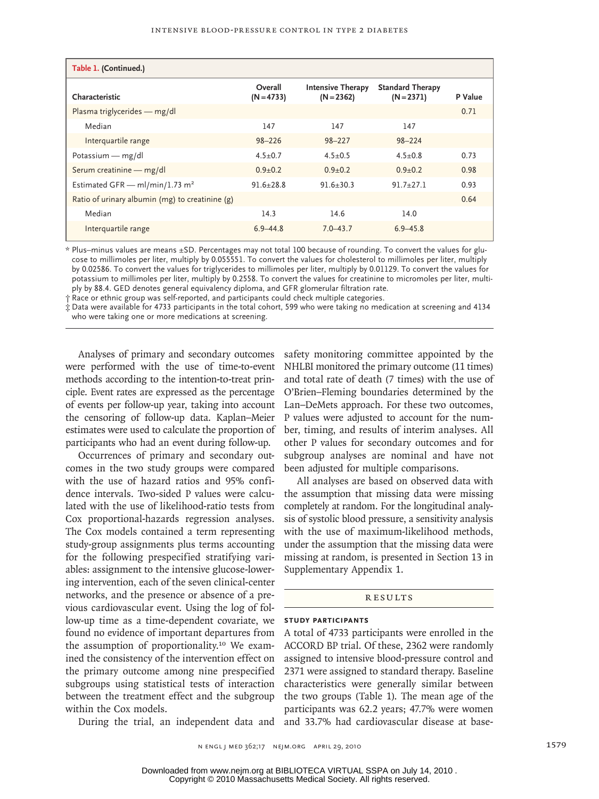| Table 1. (Continued.)                           |                         |                                          |                                         |         |  |
|-------------------------------------------------|-------------------------|------------------------------------------|-----------------------------------------|---------|--|
| Characteristic                                  | Overall<br>$(N = 4733)$ | <b>Intensive Therapy</b><br>$(N = 2362)$ | <b>Standard Therapy</b><br>$(N = 2371)$ | P Value |  |
| Plasma triglycerides - mg/dl                    |                         |                                          |                                         | 0.71    |  |
| Median                                          | 147                     | 147                                      | 147                                     |         |  |
| Interquartile range                             | $98 - 226$              | $98 - 227$                               | $98 - 224$                              |         |  |
| Potassium — $mg/dl$                             | $4.5 + 0.7$             | $4.5 + 0.5$                              | $4.5 + 0.8$                             | 0.73    |  |
| Serum creatinine - mg/dl                        | $0.9 + 0.2$             | $0.9 + 0.2$                              | $0.9 + 0.2$                             | 0.98    |  |
| Estimated GFR - ml/min/1.73 m <sup>2</sup>      | $91.6 + 28.8$           | $91.6 + 30.3$                            | $91.7 + 27.1$                           | 0.93    |  |
| Ratio of urinary albumin (mg) to creatinine (g) |                         |                                          |                                         | 0.64    |  |
| Median                                          | 14.3                    | 14.6                                     | 14.0                                    |         |  |
| Interquartile range                             | $6.9 - 44.8$            | $7.0 - 43.7$                             | $6.9 - 45.8$                            |         |  |

\* Plus–minus values are means ±SD. Percentages may not total 100 because of rounding. To convert the values for glucose to millimoles per liter, multiply by 0.055551. To convert the values for cholesterol to millimoles per liter, multiply by 0.02586. To convert the values for triglycerides to millimoles per liter, multiply by 0.01129. To convert the values for potassium to millimoles per liter, multiply by 0.2558. To convert the values for creatinine to micromoles per liter, multiply by 88.4. GED denotes general equivalency diploma, and GFR glomerular filtration rate.

† Race or ethnic group was self-reported, and participants could check multiple categories.

‡ Data were available for 4733 participants in the total cohort, 599 who were taking no medication at screening and 4134 who were taking one or more medications at screening.

Analyses of primary and secondary outcomes were performed with the use of time-to-event methods according to the intention-to-treat principle. Event rates are expressed as the percentage of events per follow-up year, taking into account the censoring of follow-up data. Kaplan–Meier estimates were used to calculate the proportion of participants who had an event during follow-up.

Occurrences of primary and secondary outcomes in the two study groups were compared with the use of hazard ratios and 95% confidence intervals. Two-sided P values were calculated with the use of likelihood-ratio tests from Cox proportional-hazards regression analyses. The Cox models contained a term representing study-group assignments plus terms accounting for the following prespecified stratifying variables: assignment to the intensive glucose-lowering intervention, each of the seven clinical-center networks, and the presence or absence of a previous cardiovascular event. Using the log of follow-up time as a time-dependent covariate, we found no evidence of important departures from the assumption of proportionality.10 We examined the consistency of the intervention effect on the primary outcome among nine prespecified subgroups using statistical tests of interaction between the treatment effect and the subgroup within the Cox models.

safety monitoring committee appointed by the NHLBI monitored the primary outcome (11 times) and total rate of death (7 times) with the use of O'Brien–Fleming boundaries determined by the Lan–DeMets approach. For these two outcomes, P values were adjusted to account for the number, timing, and results of interim analyses. All other P values for secondary outcomes and for subgroup analyses are nominal and have not been adjusted for multiple comparisons.

All analyses are based on observed data with the assumption that missing data were missing completely at random. For the longitudinal analysis of systolic blood pressure, a sensitivity analysis with the use of maximum-likelihood methods, under the assumption that the missing data were missing at random, is presented in Section 13 in Supplementary Appendix 1.

#### **RESULTS**

#### **Study Participants**

During the trial, an independent data and and 33.7% had cardiovascular disease at base-A total of 4733 participants were enrolled in the ACCORD BP trial. Of these, 2362 were randomly assigned to intensive blood-pressure control and 2371 were assigned to standard therapy. Baseline characteristics were generally similar between the two groups (Table 1). The mean age of the participants was 62.2 years; 47.7% were women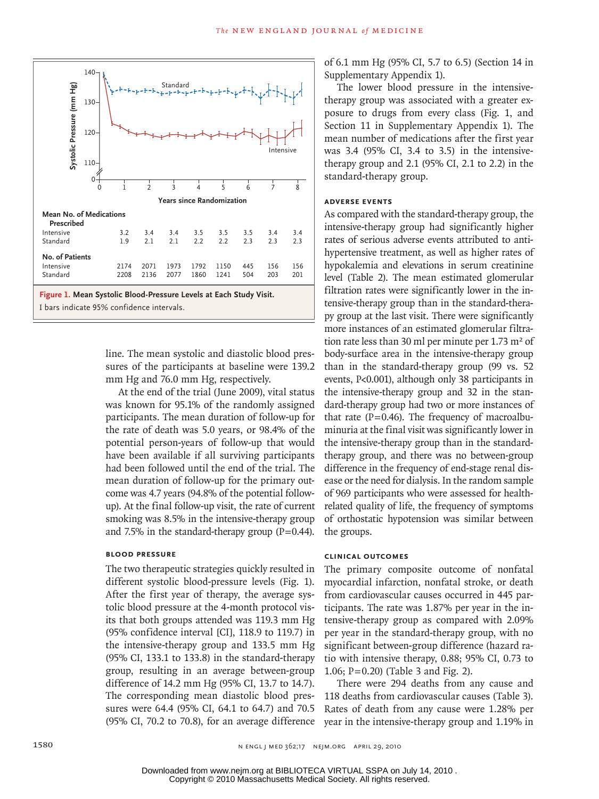

line. The mean systolic and diastolic blood pressures of the participants at baseline were 139.2 mm Hg and 76.0 mm Hg, respectively.

At the end of the trial (June 2009), vital status was known for 95.1% of the randomly assigned participants. The mean duration of follow-up for the rate of death was 5.0 years, or 98.4% of the potential person-years of follow-up that would have been available if all surviving participants had been followed until the end of the trial. The mean duration of follow-up for the primary outcome was 4.7 years (94.8% of the potential followup). At the final follow-up visit, the rate of current smoking was 8.5% in the intensive-therapy group and 7.5% in the standard-therapy group  $(P=0.44)$ .

# **Blood Pressure**

The two therapeutic strategies quickly resulted in different systolic blood-pressure levels (Fig. 1). After the first year of therapy, the average systolic blood pressure at the 4-month protocol visits that both groups attended was 119.3 mm Hg (95% confidence interval [CI], 118.9 to 119.7) in the intensive-therapy group and 133.5 mm Hg (95% CI, 133.1 to 133.8) in the standard-therapy group, resulting in an average between-group difference of 14.2 mm Hg (95% CI, 13.7 to 14.7). The corresponding mean diastolic blood pressures were 64.4 (95% CI, 64.1 to 64.7) and 70.5 (95% CI, 70.2 to 70.8), for an average difference of 6.1 mm Hg (95% CI, 5.7 to 6.5) (Section 14 in Supplementary Appendix 1).

The lower blood pressure in the intensivetherapy group was associated with a greater exposure to drugs from every class (Fig. 1, and Section 11 in Supplementary Appendix 1). The mean number of medications after the first year was 3.4 (95% CI, 3.4 to 3.5) in the intensivetherapy group and 2.1 (95% CI, 2.1 to 2.2) in the standard-therapy group.

# **Adverse Events**

As compared with the standard-therapy group, the intensive-therapy group had significantly higher rates of serious adverse events attributed to antihypertensive treatment, as well as higher rates of hypokalemia and elevations in serum creatinine level (Table 2). The mean estimated glomerular filtration rates were significantly lower in the intensive-therapy group than in the standard-therapy group at the last visit. There were significantly more instances of an estimated glomerular filtration rate less than 30 ml per minute per  $1.73 \text{ m}^2$  of body-surface area in the intensive-therapy group than in the standard-therapy group (99 vs. 52 events, P<0.001), although only 38 participants in the intensive-therapy group and 32 in the standard-therapy group had two or more instances of that rate ( $P=0.46$ ). The frequency of macroalbuminuria at the final visit was significantly lower in the intensive-therapy group than in the standardtherapy group, and there was no between-group difference in the frequency of end-stage renal disease or the need for dialysis. In the random sample of 969 participants who were assessed for healthrelated quality of life, the frequency of symptoms of orthostatic hypotension was similar between the groups.

# **Clinical Outcomes**

The primary composite outcome of nonfatal myocardial infarction, nonfatal stroke, or death from cardiovascular causes occurred in 445 participants. The rate was 1.87% per year in the intensive-therapy group as compared with 2.09% per year in the standard-therapy group, with no significant between-group difference (hazard ratio with intensive therapy, 0.88; 95% CI, 0.73 to 1.06; P=0.20) (Table 3 and Fig. 2).

There were 294 deaths from any cause and 118 deaths from cardiovascular causes (Table 3). Rates of death from any cause were 1.28% per year in the intensive-therapy group and 1.19% in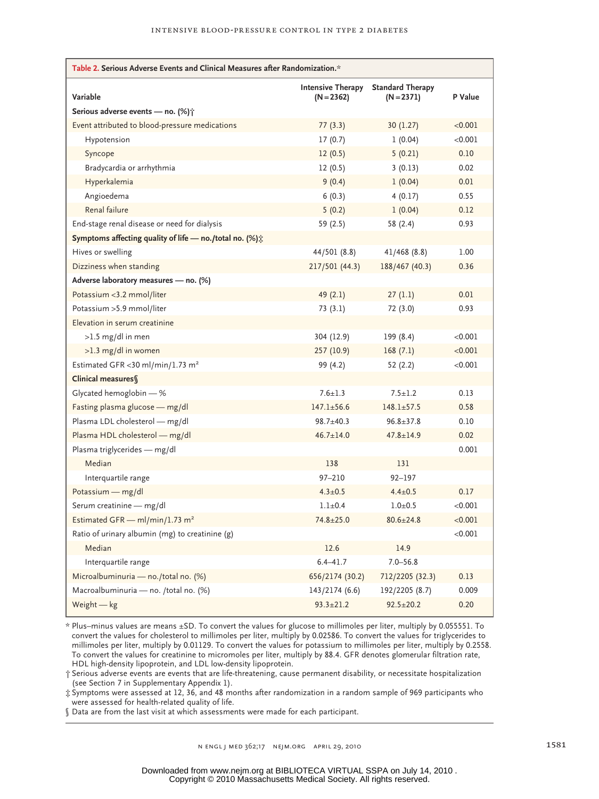| Table 2. Serious Adverse Events and Clinical Measures after Randomization.* |                                          |                                         |         |  |  |
|-----------------------------------------------------------------------------|------------------------------------------|-----------------------------------------|---------|--|--|
| Variable                                                                    | <b>Intensive Therapy</b><br>$(N = 2362)$ | <b>Standard Therapy</b><br>$(N = 2371)$ | P Value |  |  |
| Serious adverse events - no. (%) ;                                          |                                          |                                         |         |  |  |
| Event attributed to blood-pressure medications                              | 77(3.3)                                  | 30 (1.27)                               | < 0.001 |  |  |
| Hypotension                                                                 | 17(0.7)                                  | 1(0.04)                                 | < 0.001 |  |  |
| Syncope                                                                     | 12(0.5)                                  | 5(0.21)                                 | 0.10    |  |  |
| Bradycardia or arrhythmia                                                   | 12(0.5)                                  | 3(0.13)                                 | 0.02    |  |  |
| Hyperkalemia                                                                | 9(0.4)<br>1(0.04)                        |                                         | 0.01    |  |  |
| Angioedema                                                                  | 6(0.3)<br>4(0.17)                        |                                         | 0.55    |  |  |
| Renal failure                                                               | 5(0.2)                                   | 1(0.04)                                 | 0.12    |  |  |
| End-stage renal disease or need for dialysis                                | 59 (2.5)                                 | 58 (2.4)                                | 0.93    |  |  |
| Symptoms affecting quality of life — no./total no. (%) $\dot{\mathbb{C}}$   |                                          |                                         |         |  |  |
| Hives or swelling                                                           | 44/501 (8.8)                             | 41/468 (8.8)                            | 1.00    |  |  |
| Dizziness when standing                                                     | 217/501 (44.3)                           | 188/467 (40.3)                          | 0.36    |  |  |
| Adverse laboratory measures - no. (%)                                       |                                          |                                         |         |  |  |
| Potassium <3.2 mmol/liter                                                   | 49(2.1)                                  | 27(1.1)                                 | 0.01    |  |  |
| Potassium > 5.9 mmol/liter                                                  | 73 (3.1)                                 | 72 (3.0)                                | 0.93    |  |  |
| Elevation in serum creatinine                                               |                                          |                                         |         |  |  |
| $>1.5$ mg/dl in men                                                         | 304 (12.9)                               | 199 (8.4)                               | < 0.001 |  |  |
| $>1.3$ mg/dl in women                                                       | 257 (10.9)                               | 168(7.1)                                | < 0.001 |  |  |
| Estimated GFR < 30 ml/min/1.73 m <sup>2</sup>                               | 99 (4.2)                                 | 52 (2.2)                                | < 0.001 |  |  |
| Clinical measures                                                           |                                          |                                         |         |  |  |
| Glycated hemoglobin - %                                                     | $7.6 \pm 1.3$                            | $7.5 \pm 1.2$                           | 0.13    |  |  |
| Fasting plasma glucose - mg/dl                                              | $147.1 \pm 56.6$<br>$148.1 \pm 57.5$     |                                         | 0.58    |  |  |
| Plasma LDL cholesterol - mg/dl                                              | $98.7 \pm 40.3$                          | $96.8 \pm 37.8$                         | 0.10    |  |  |
| Plasma HDL cholesterol - mg/dl                                              | $46.7 \pm 14.0$                          | $47.8 \pm 14.9$                         | 0.02    |  |  |
| Plasma triglycerides — mg/dl                                                |                                          |                                         | 0.001   |  |  |
| Median                                                                      | 138                                      | 131                                     |         |  |  |
| Interquartile range                                                         | $97 - 210$                               | 92-197                                  |         |  |  |
| Potassium - mg/dl                                                           | $4.3 \pm 0.5$                            | $4.4 \pm 0.5$                           | 0.17    |  |  |
| Serum creatinine - mg/dl                                                    | $1.1 \pm 0.4$                            | $1.0 + 0.5$                             | < 0.001 |  |  |
| Estimated GFR - ml/min/1.73 m <sup>2</sup>                                  | $74.8 \pm 25.0$                          | $80.6 \pm 24.8$                         | < 0.001 |  |  |
| Ratio of urinary albumin (mg) to creatinine (g)                             |                                          |                                         | < 0.001 |  |  |
| Median                                                                      | 12.6                                     | 14.9                                    |         |  |  |
| Interquartile range                                                         | $6.4 - 41.7$                             | $7.0 - 56.8$                            |         |  |  |
| Microalbuminuria — no./total no. (%)                                        | 656/2174 (30.2)                          | 712/2205 (32.3)                         | 0.13    |  |  |
| Macroalbuminuria — no. /total no. (%)                                       | 143/2174 (6.6)                           | 192/2205 (8.7)                          | 0.009   |  |  |
| Weight $-$ kg                                                               | $93.3 \pm 21.2$                          | $92.5 \pm 20.2$                         | 0.20    |  |  |

\* Plus–minus values are means ±SD. To convert the values for glucose to millimoles per liter, multiply by 0.055551. To convert the values for cholesterol to millimoles per liter, multiply by 0.02586. To convert the values for triglycerides to millimoles per liter, multiply by 0.01129. To convert the values for potassium to millimoles per liter, multiply by 0.2558. To convert the values for creatinine to micromoles per liter, multiply by 88.4. GFR denotes glomerular filtration rate, HDL high-density lipoprotein, and LDL low-density lipoprotein.

† Serious adverse events are events that are life-threatening, cause permanent disability, or necessitate hospitalization (see Section 7 in Supplementary Appendix 1).

‡ Symptoms were assessed at 12, 36, and 48 months after randomization in a random sample of 969 participants who were assessed for health-related quality of life.

§ Data are from the last visit at which assessments were made for each participant.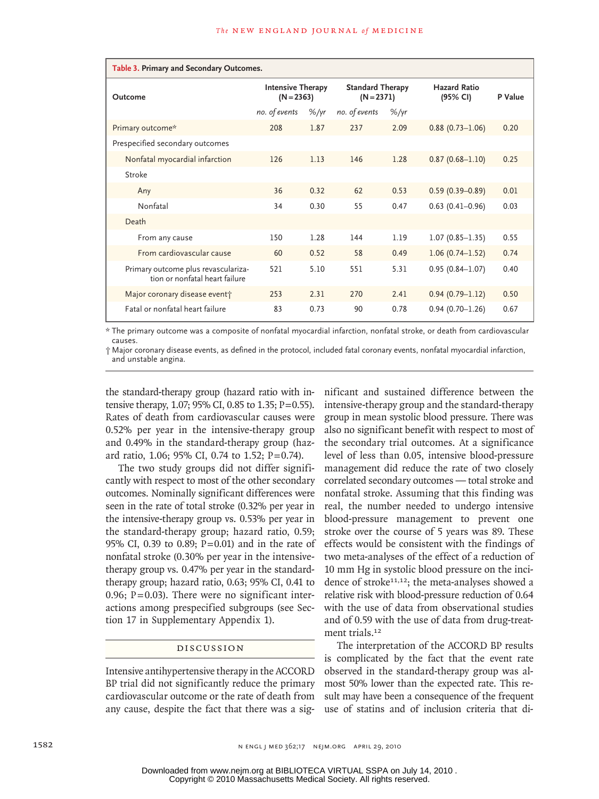| Table 3. Primary and Secondary Outcomes.                              |                                          |                   |                                         |                   |                                 |         |
|-----------------------------------------------------------------------|------------------------------------------|-------------------|-----------------------------------------|-------------------|---------------------------------|---------|
| Outcome                                                               | <b>Intensive Therapy</b><br>$(N = 2363)$ |                   | <b>Standard Therapy</b><br>$(N = 2371)$ |                   | <b>Hazard Ratio</b><br>(95% CI) | P Value |
|                                                                       | no. of events                            | $\frac{9}{7}$ /yr | no. of events                           | $\frac{9}{5}$ /yr |                                 |         |
| Primary outcome*                                                      | 208                                      | 1.87              | 237                                     | 2.09              | $0.88(0.73 - 1.06)$             | 0.20    |
| Prespecified secondary outcomes                                       |                                          |                   |                                         |                   |                                 |         |
| Nonfatal myocardial infarction                                        | 126                                      | 1.13              | 146                                     | 1.28              | $0.87(0.68 - 1.10)$             | 0.25    |
| Stroke                                                                |                                          |                   |                                         |                   |                                 |         |
| Any                                                                   | 36                                       | 0.32              | 62                                      | 0.53              | $0.59(0.39 - 0.89)$             | 0.01    |
| Nonfatal                                                              | 34                                       | 0.30              | 55                                      | 0.47              | $0.63(0.41 - 0.96)$             | 0.03    |
| Death                                                                 |                                          |                   |                                         |                   |                                 |         |
| From any cause                                                        | 150                                      | 1.28              | 144                                     | 1.19              | $1.07(0.85 - 1.35)$             | 0.55    |
| From cardiovascular cause                                             | 60                                       | 0.52              | 58                                      | 0.49              | $1.06(0.74 - 1.52)$             | 0.74    |
| Primary outcome plus revasculariza-<br>tion or nonfatal heart failure | 521                                      | 5.10              | 551                                     | 5.31              | $0.95(0.84 - 1.07)$             | 0.40    |
| Major coronary disease event                                          | 253                                      | 2.31              | 270                                     | 2.41              | $0.94(0.79 - 1.12)$             | 0.50    |
| Fatal or nonfatal heart failure                                       | 83                                       | 0.73              | 90                                      | 0.78              | $0.94(0.70 - 1.26)$             | 0.67    |

\* The primary outcome was a composite of nonfatal myocardial infarction, nonfatal stroke, or death from cardiovascular causes.

† Major coronary disease events, as defined in the protocol, included fatal coronary events, nonfatal myocardial infarction, and unstable angina.

the standard-therapy group (hazard ratio with intensive therapy, 1.07; 95% CI, 0.85 to 1.35; P=0.55). Rates of death from cardiovascular causes were 0.52% per year in the intensive-therapy group and 0.49% in the standard-therapy group (hazard ratio, 1.06; 95% CI, 0.74 to 1.52; P=0.74).

The two study groups did not differ significantly with respect to most of the other secondary outcomes. Nominally significant differences were seen in the rate of total stroke (0.32% per year in the intensive-therapy group vs. 0.53% per year in the standard-therapy group; hazard ratio, 0.59; 95% CI, 0.39 to 0.89; P=0.01) and in the rate of nonfatal stroke (0.30% per year in the intensivetherapy group vs. 0.47% per year in the standardtherapy group; hazard ratio, 0.63; 95% CI, 0.41 to 0.96;  $P = 0.03$ ). There were no significant interactions among prespecified subgroups (see Section 17 in Supplementary Appendix 1).

## Discussion

Intensive antihypertensive therapy in the ACCORD BP trial did not significantly reduce the primary cardiovascular outcome or the rate of death from any cause, despite the fact that there was a significant and sustained difference between the intensive-therapy group and the standard-therapy group in mean systolic blood pressure. There was also no significant benefit with respect to most of the secondary trial outcomes. At a significance level of less than 0.05, intensive blood-pressure management did reduce the rate of two closely correlated secondary outcomes — total stroke and nonfatal stroke. Assuming that this finding was real, the number needed to undergo intensive blood-pressure management to prevent one stroke over the course of 5 years was 89. These effects would be consistent with the findings of two meta-analyses of the effect of a reduction of 10 mm Hg in systolic blood pressure on the incidence of stroke<sup>11,12</sup>; the meta-analyses showed a relative risk with blood-pressure reduction of 0.64 with the use of data from observational studies and of 0.59 with the use of data from drug-treatment trials.<sup>12</sup>

The interpretation of the ACCORD BP results is complicated by the fact that the event rate observed in the standard-therapy group was almost 50% lower than the expected rate. This result may have been a consequence of the frequent use of statins and of inclusion criteria that di-

Copyright © 2010 Massachusetts Medical Society. All rights reserved. Downloaded from www.nejm.org at BIBLIOTECA VIRTUAL SSPA on July 14, 2010 .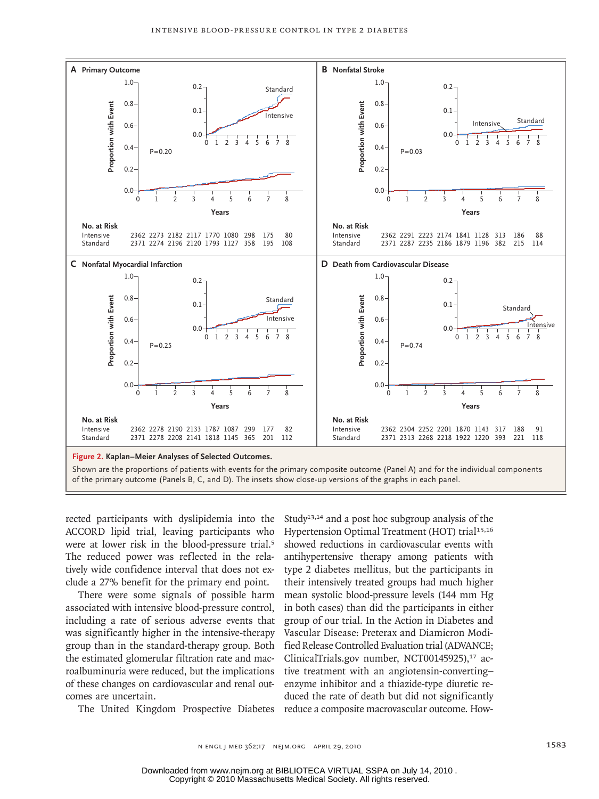

rected participants with dyslipidemia into the ACCORD lipid trial, leaving participants who were at lower risk in the blood-pressure trial.<sup>5</sup> The reduced power was reflected in the relatively wide confidence interval that does not exclude a 27% benefit for the primary end point.

There were some signals of possible harm associated with intensive blood-pressure control, including a rate of serious adverse events that was significantly higher in the intensive-therapy group than in the standard-therapy group. Both the estimated glomerular filtration rate and macroalbuminuria were reduced, but the implications of these changes on cardiovascular and renal outcomes are uncertain.

The United Kingdom Prospective Diabetes reduce a composite macrovascular outcome. Howthe Study<sup>13,14</sup> and a post hoc subgroup analysis of the nts who Hypertension Optimal Treatment (HOT) trial<sup>15,16</sup> showed reductions in cardiovascular events with in the rela- antihypertensive therapy among patients with type 2 diabetes mellitus, but the participants in their intensively treated groups had much higher mean systolic blood-pressure levels (144 mm Hg in both cases) than did the participants in either group of our trial. In the Action in Diabetes and Vascular Disease: Preterax and Diamicron Modified Release Controlled Evaluation trial (ADVANCE; ClinicalTrials.gov number, NCT00145925),<sup>17</sup> active treatment with an angiotensin-converting– enzyme inhibitor and a thiazide-type diuretic reduced the rate of death but did not significantly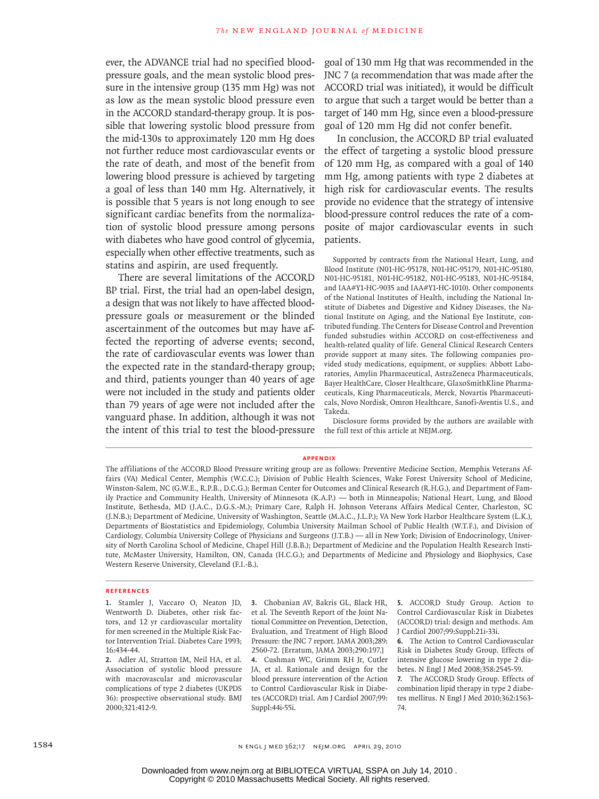ever, the ADVANCE trial had no specified bloodpressure goals, and the mean systolic blood pressure in the intensive group (135 mm Hg) was not as low as the mean systolic blood pressure even in the ACCORD standard-therapy group. It is possible that lowering systolic blood pressure from the mid-130s to approximately 120 mm Hg does not further reduce most cardiovascular events or the rate of death, and most of the benefit from lowering blood pressure is achieved by targeting a goal of less than 140 mm Hg. Alternatively, it is possible that 5 years is not long enough to see significant cardiac benefits from the normalization of systolic blood pressure among persons with diabetes who have good control of glycemia, especially when other effective treatments, such as statins and aspirin, are used frequently.

There are several limitations of the ACCORD BP trial. First, the trial had an open-label design, a design that was not likely to have affected bloodpressure goals or measurement or the blinded ascertainment of the outcomes but may have affected the reporting of adverse events; second, the rate of cardiovascular events was lower than the expected rate in the standard-therapy group; and third, patients younger than 40 years of age were not included in the study and patients older than 79 years of age were not included after the vanguard phase. In addition, although it was not the intent of this trial to test the blood-pressure goal of 130 mm Hg that was recommended in the JNC 7 (a recommendation that was made after the ACCORD trial was initiated), it would be difficult to argue that such a target would be better than a target of 140 mm Hg, since even a blood-pressure goal of 120 mm Hg did not confer benefit.

In conclusion, the ACCORD BP trial evaluated the effect of targeting a systolic blood pressure of 120 mm Hg, as compared with a goal of 140 mm Hg, among patients with type 2 diabetes at high risk for cardiovascular events. The results provide no evidence that the strategy of intensive blood-pressure control reduces the rate of a composite of major cardiovascular events in such patients.

Supported by contracts from the National Heart, Lung, and Blood Institute (N01-HC-95178, N01-HC-95179, N01-HC-95180, N01-HC-95181, N01-HC-95182, N01-HC-95183, N01-HC-95184, and IAA#Y1-HC-9035 and IAA#Y1-HC-1010). Other components of the National Institutes of Health, including the National Institute of Diabetes and Digestive and Kidney Diseases, the National Institute on Aging, and the National Eye Institute, contributed funding. The Centers for Disease Control and Prevention funded substudies within ACCORD on cost-effectiveness and health-related quality of life. General Clinical Research Centers provide support at many sites. The following companies provided study medications, equipment, or supplies: Abbott Laboratories, Amylin Pharmaceutical, AstraZeneca Pharmaceuticals, Bayer HealthCare, Closer Healthcare, GlaxoSmithKline Pharmaceuticals, King Pharmaceuticals, Merck, Novartis Pharmaceuticals, Novo Nordisk, Omron Healthcare, Sanofi-Aventis U.S., and Takeda.

Disclosure forms provided by the authors are available with the full text of this article at NEJM.org.

#### **APPENDIX**

The affiliations of the ACCORD Blood Pressure writing group are as follows: Preventive Medicine Section, Memphis Veterans Affairs (VA) Medical Center, Memphis (W.C.C.); Division of Public Health Sciences, Wake Forest University School of Medicine, Winston-Salem, NC (G.W.E., R.P.B., D.C.G.); Berman Center for Outcomes and Clinical Research (R.H.G.), and Department of Family Practice and Community Health, University of Minnesota (K.A.P.) — both in Minneapolis; National Heart, Lung, and Blood Institute, Bethesda, MD (J.A.C., D.G.S.-M.); Primary Care, Ralph H. Johnson Veterans Affairs Medical Center, Charleston, SC (J.N.B.); Department of Medicine, University of Washington, Seattle (M.A.C., J.L.P.); VA New York Harbor Healthcare System (L.K.), Departments of Biostatistics and Epidemiology, Columbia University Mailman School of Public Health (W.T.F.), and Division of Cardiology, Columbia University College of Physicians and Surgeons (J.T.B.) — all in New York; Division of Endocrinology, University of North Carolina School of Medicine, Chapel Hill (J.B.B.); Department of Medicine and the Population Health Research Institute, McMaster University, Hamilton, ON, Canada (H.C.G.); and Departments of Medicine and Physiology and Biophysics, Case Western Reserve University, Cleveland (F.I.-B.).

#### **References**

**1.** Stamler J, Vaccaro O, Neaton JD, Wentworth D. Diabetes, other risk factors, and 12 yr cardiovascular mortality for men screened in the Multiple Risk Factor Intervention Trial. Diabetes Care 1993; 16:434-44.

**2.** Adler AI, Stratton IM, Neil HA, et al. Association of systolic blood pressure with macrovascular and microvascular complications of type 2 diabetes (UKPDS 36): prospective observational study. BMJ 2000;321:412-9.

**3.** Chobanian AV, Bakris GL, Black HR, et al. The Seventh Report of the Joint National Committee on Prevention, Detection, Evaluation, and Treatment of High Blood Pressure: the JNC 7 report. JAMA 2003;289: 2560-72. [Erratum, JAMA 2003;290:197.] **4.** Cushman WC, Grimm RH Jr, Cutler JA, et al. Rationale and design for the blood pressure intervention of the Action to Control Cardiovascular Risk in Diabetes (ACCORD) trial. Am J Cardiol 2007;99: Suppl:44i-55i.

**5.** ACCORD Study Group. Action to Control Cardiovascular Risk in Diabetes (ACCORD) trial: design and methods. Am J Cardiol 2007;99:Suppl:21i-33i.

**6.** The Action to Control Cardiovascular Risk in Diabetes Study Group. Effects of intensive glucose lowering in type 2 diabetes. N Engl J Med 2008;358:2545-59.

**7.** The ACCORD Study Group. Effects of combination lipid therapy in type 2 diabetes mellitus. N Engl J Med 2010;362:1563- 74.